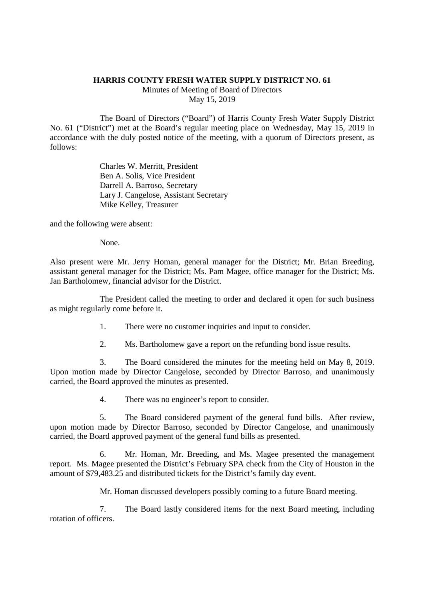## **HARRIS COUNTY FRESH WATER SUPPLY DISTRICT NO. 61**

Minutes of Meeting of Board of Directors May 15, 2019

The Board of Directors ("Board") of Harris County Fresh Water Supply District No. 61 ("District") met at the Board's regular meeting place on Wednesday, May 15, 2019 in accordance with the duly posted notice of the meeting, with a quorum of Directors present, as follows:

> Charles W. Merritt, President Ben A. Solis, Vice President Darrell A. Barroso, Secretary Lary J. Cangelose, Assistant Secretary Mike Kelley, Treasurer

and the following were absent:

None.

Also present were Mr. Jerry Homan, general manager for the District; Mr. Brian Breeding, assistant general manager for the District; Ms. Pam Magee, office manager for the District; Ms. Jan Bartholomew, financial advisor for the District.

The President called the meeting to order and declared it open for such business as might regularly come before it.

- 1. There were no customer inquiries and input to consider.
- 2. Ms. Bartholomew gave a report on the refunding bond issue results.

3. The Board considered the minutes for the meeting held on May 8, 2019. Upon motion made by Director Cangelose, seconded by Director Barroso, and unanimously carried, the Board approved the minutes as presented.

4. There was no engineer's report to consider.

5. The Board considered payment of the general fund bills. After review, upon motion made by Director Barroso, seconded by Director Cangelose, and unanimously carried, the Board approved payment of the general fund bills as presented.

6. Mr. Homan, Mr. Breeding, and Ms. Magee presented the management report. Ms. Magee presented the District's February SPA check from the City of Houston in the amount of \$79,483.25 and distributed tickets for the District's family day event.

Mr. Homan discussed developers possibly coming to a future Board meeting.

7. The Board lastly considered items for the next Board meeting, including rotation of officers.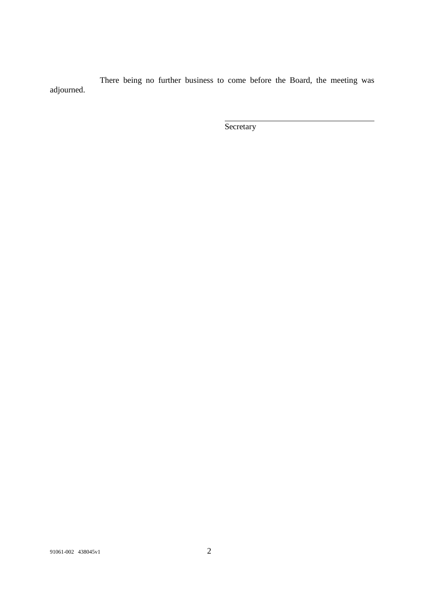There being no further business to come before the Board, the meeting was adjourned.

**Secretary**